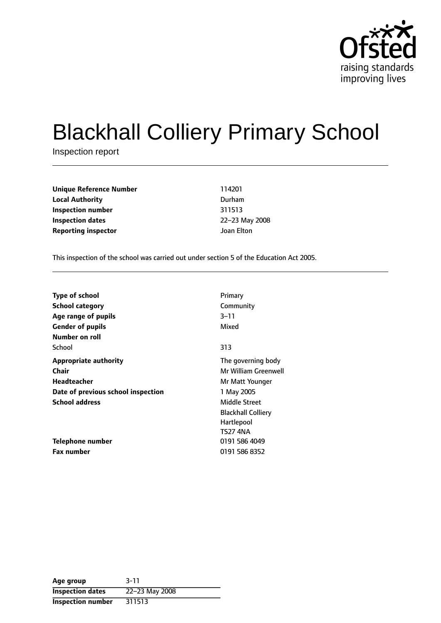

# Blackhall Colliery Primary School

Inspection report

**Unique Reference Number** 114201 **Local Authority** Durham **Inspection number** 311513 **Inspection dates** 22-23 May 2008 **Reporting inspector** Joan Elton

This inspection of the school was carried out under section 5 of the Education Act 2005.

| Type of school                     | Primary                   |
|------------------------------------|---------------------------|
| School category                    | Community                 |
| Age range of pupils                | $3 - 11$                  |
| <b>Gender of pupils</b>            | Mixed                     |
| Number on roll                     |                           |
| School                             | 313                       |
| <b>Appropriate authority</b>       | The governing body        |
| Chair                              | Mr William Greenwell      |
| Headteacher                        | Mr Matt Younger           |
| Date of previous school inspection | 1 May 2005                |
| <b>School address</b>              | Middle Street             |
|                                    | <b>Blackhall Colliery</b> |
|                                    | Hartlepool                |
|                                    | TS27 4NA                  |
| Telephone number                   | 0191 586 4049             |
| <b>Fax number</b>                  | 0191 586 8352             |

| Age group                | $3 - 11$       |
|--------------------------|----------------|
| <b>Inspection dates</b>  | 22-23 May 2008 |
| <b>Inspection number</b> | 311513         |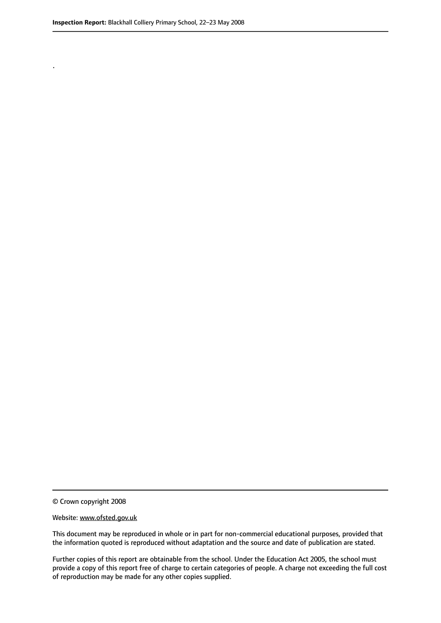.

© Crown copyright 2008

#### Website: www.ofsted.gov.uk

This document may be reproduced in whole or in part for non-commercial educational purposes, provided that the information quoted is reproduced without adaptation and the source and date of publication are stated.

Further copies of this report are obtainable from the school. Under the Education Act 2005, the school must provide a copy of this report free of charge to certain categories of people. A charge not exceeding the full cost of reproduction may be made for any other copies supplied.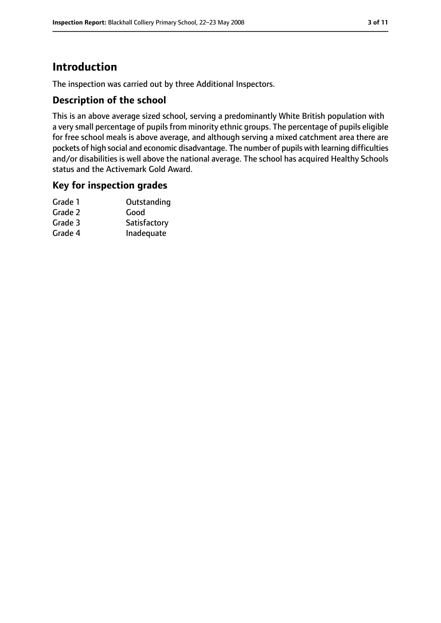# **Introduction**

The inspection was carried out by three Additional Inspectors.

## **Description of the school**

This is an above average sized school, serving a predominantly White British population with a very small percentage of pupils from minority ethnic groups. The percentage of pupils eligible for free school meals is above average, and although serving a mixed catchment area there are pockets of high social and economic disadvantage. The number of pupils with learning difficulties and/or disabilities is well above the national average. The school has acquired Healthy Schools status and the Activemark Gold Award.

## **Key for inspection grades**

| Grade 1 | Outstanding  |
|---------|--------------|
| Grade 2 | Good         |
| Grade 3 | Satisfactory |
| Grade 4 | Inadequate   |
|         |              |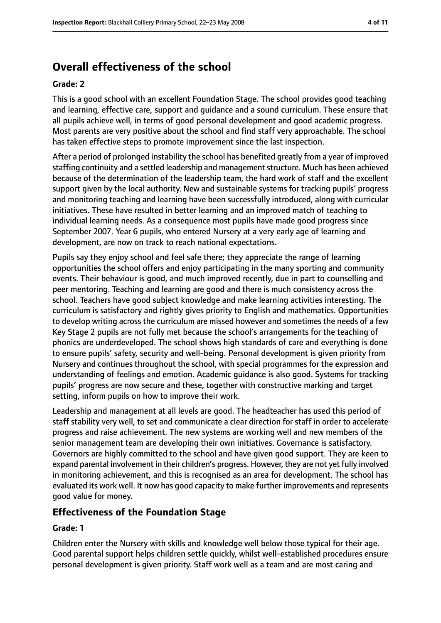# **Overall effectiveness of the school**

#### **Grade: 2**

This is a good school with an excellent Foundation Stage. The school provides good teaching and learning, effective care, support and guidance and a sound curriculum. These ensure that all pupils achieve well, in terms of good personal development and good academic progress. Most parents are very positive about the school and find staff very approachable. The school has taken effective steps to promote improvement since the last inspection.

After a period of prolonged instability the school has benefited greatly from a year of improved staffing continuity and a settled leadership and management structure. Much has been achieved because of the determination of the leadership team, the hard work of staff and the excellent support given by the local authority. New and sustainable systems for tracking pupils' progress and monitoring teaching and learning have been successfully introduced, along with curricular initiatives. These have resulted in better learning and an improved match of teaching to individual learning needs. As a consequence most pupils have made good progress since September 2007. Year 6 pupils, who entered Nursery at a very early age of learning and development, are now on track to reach national expectations.

Pupils say they enjoy school and feel safe there; they appreciate the range of learning opportunities the school offers and enjoy participating in the many sporting and community events. Their behaviour is good, and much improved recently, due in part to counselling and peer mentoring. Teaching and learning are good and there is much consistency across the school. Teachers have good subject knowledge and make learning activities interesting. The curriculum is satisfactory and rightly gives priority to English and mathematics. Opportunities to develop writing across the curriculum are missed however and sometimes the needs of a few Key Stage 2 pupils are not fully met because the school's arrangements for the teaching of phonics are underdeveloped. The school shows high standards of care and everything is done to ensure pupils' safety, security and well-being. Personal development is given priority from Nursery and continues throughout the school, with special programmes for the expression and understanding of feelings and emotion. Academic guidance is also good. Systems for tracking pupils' progress are now secure and these, together with constructive marking and target setting, inform pupils on how to improve their work.

Leadership and management at all levels are good. The headteacher has used this period of staff stability very well, to set and communicate a clear direction for staff in order to accelerate progress and raise achievement. The new systems are working well and new members of the senior management team are developing their own initiatives. Governance is satisfactory. Governors are highly committed to the school and have given good support. They are keen to expand parental involvement in their children's progress. However, they are not yet fully involved in monitoring achievement, and this is recognised as an area for development. The school has evaluated its work well. It now has good capacity to make further improvements and represents good value for money.

## **Effectiveness of the Foundation Stage**

#### **Grade: 1**

Children enter the Nursery with skills and knowledge well below those typical for their age. Good parental support helps children settle quickly, whilst well-established procedures ensure personal development is given priority. Staff work well as a team and are most caring and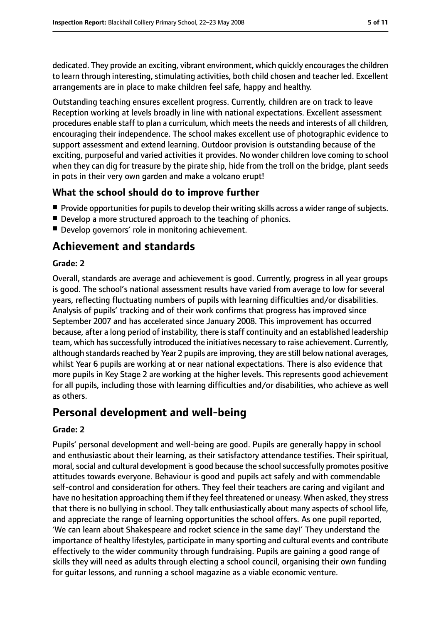dedicated. They provide an exciting, vibrant environment, which quickly encourages the children to learn through interesting, stimulating activities, both child chosen and teacher led. Excellent arrangements are in place to make children feel safe, happy and healthy.

Outstanding teaching ensures excellent progress. Currently, children are on track to leave Reception working at levels broadly in line with national expectations. Excellent assessment procedures enable staff to plan a curriculum, which meets the needs and interests of all children, encouraging their independence. The school makes excellent use of photographic evidence to support assessment and extend learning. Outdoor provision is outstanding because of the exciting, purposeful and varied activities it provides. No wonder children love coming to school when they can dig for treasure by the pirate ship, hide from the troll on the bridge, plant seeds in pots in their very own garden and make a volcano erupt!

# **What the school should do to improve further**

- $\blacksquare$  Provide opportunities for pupils to develop their writing skills across a wider range of subjects.
- Develop a more structured approach to the teaching of phonics.
- Develop governors' role in monitoring achievement.

# **Achievement and standards**

#### **Grade: 2**

Overall, standards are average and achievement is good. Currently, progress in all year groups is good. The school's national assessment results have varied from average to low for several years, reflecting fluctuating numbers of pupils with learning difficulties and/or disabilities. Analysis of pupils' tracking and of their work confirms that progress has improved since September 2007 and has accelerated since January 2008. This improvement has occurred because, after a long period of instability, there is staff continuity and an established leadership team, which has successfully introduced the initiatives necessary to raise achievement. Currently, although standards reached by Year 2 pupils are improving, they are still below national averages, whilst Year 6 pupils are working at or near national expectations. There is also evidence that more pupils in Key Stage 2 are working at the higher levels. This represents good achievement for all pupils, including those with learning difficulties and/or disabilities, who achieve as well as others.

# **Personal development and well-being**

## **Grade: 2**

Pupils' personal development and well-being are good. Pupils are generally happy in school and enthusiastic about their learning, as their satisfactory attendance testifies. Their spiritual, moral, social and cultural development is good because the school successfully promotes positive attitudes towards everyone. Behaviour is good and pupils act safely and with commendable self-control and consideration for others. They feel their teachers are caring and vigilant and have no hesitation approaching them if they feel threatened or uneasy. When asked, they stress that there is no bullying in school. They talk enthusiastically about many aspects of school life, and appreciate the range of learning opportunities the school offers. As one pupil reported, 'We can learn about Shakespeare and rocket science in the same day!' They understand the importance of healthy lifestyles, participate in many sporting and cultural events and contribute effectively to the wider community through fundraising. Pupils are gaining a good range of skills they will need as adults through electing a school council, organising their own funding for guitar lessons, and running a school magazine as a viable economic venture.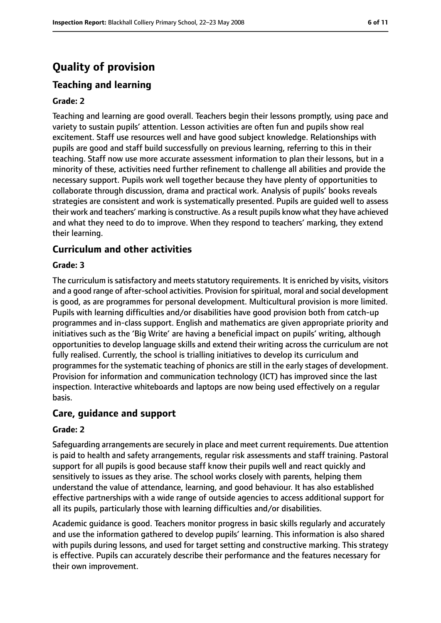# **Quality of provision**

# **Teaching and learning**

#### **Grade: 2**

Teaching and learning are good overall. Teachers begin their lessons promptly, using pace and variety to sustain pupils' attention. Lesson activities are often fun and pupils show real excitement. Staff use resources well and have good subject knowledge. Relationships with pupils are good and staff build successfully on previous learning, referring to this in their teaching. Staff now use more accurate assessment information to plan their lessons, but in a minority of these, activities need further refinement to challenge all abilities and provide the necessary support. Pupils work well together because they have plenty of opportunities to collaborate through discussion, drama and practical work. Analysis of pupils' books reveals strategies are consistent and work is systematically presented. Pupils are guided well to assess their work and teachers' marking is constructive. As a result pupils know what they have achieved and what they need to do to improve. When they respond to teachers' marking, they extend their learning.

## **Curriculum and other activities**

#### **Grade: 3**

The curriculum is satisfactory and meets statutory requirements. It is enriched by visits, visitors and a good range of after-school activities. Provision for spiritual, moral and social development is good, as are programmes for personal development. Multicultural provision is more limited. Pupils with learning difficulties and/or disabilities have good provision both from catch-up programmes and in-class support. English and mathematics are given appropriate priority and initiatives such as the 'Big Write' are having a beneficial impact on pupils' writing, although opportunities to develop language skills and extend their writing across the curriculum are not fully realised. Currently, the school is trialling initiatives to develop its curriculum and programmes for the systematic teaching of phonics are still in the early stages of development. Provision for information and communication technology (ICT) has improved since the last inspection. Interactive whiteboards and laptops are now being used effectively on a regular basis.

## **Care, guidance and support**

#### **Grade: 2**

Safeguarding arrangements are securely in place and meet current requirements. Due attention is paid to health and safety arrangements, regular risk assessments and staff training. Pastoral support for all pupils is good because staff know their pupils well and react quickly and sensitively to issues as they arise. The school works closely with parents, helping them understand the value of attendance, learning, and good behaviour. It has also established effective partnerships with a wide range of outside agencies to access additional support for all its pupils, particularly those with learning difficulties and/or disabilities.

Academic guidance is good. Teachers monitor progress in basic skills regularly and accurately and use the information gathered to develop pupils' learning. This information is also shared with pupils during lessons, and used for target setting and constructive marking. This strategy is effective. Pupils can accurately describe their performance and the features necessary for their own improvement.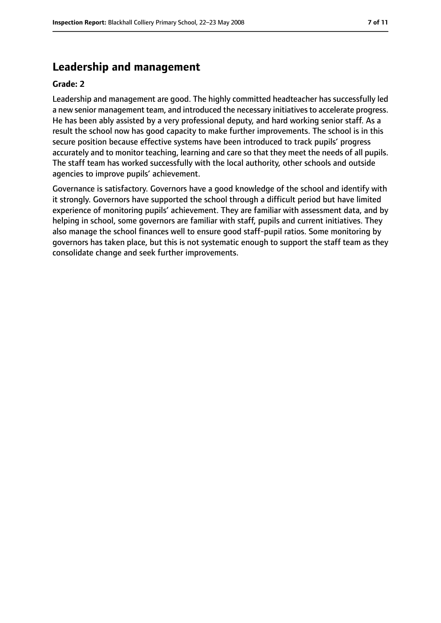# **Leadership and management**

#### **Grade: 2**

Leadership and management are good. The highly committed headteacher has successfully led a new senior management team, and introduced the necessary initiatives to accelerate progress. He has been ably assisted by a very professional deputy, and hard working senior staff. As a result the school now has good capacity to make further improvements. The school is in this secure position because effective systems have been introduced to track pupils' progress accurately and to monitor teaching, learning and care so that they meet the needs of all pupils. The staff team has worked successfully with the local authority, other schools and outside agencies to improve pupils' achievement.

Governance is satisfactory. Governors have a good knowledge of the school and identify with it strongly. Governors have supported the school through a difficult period but have limited experience of monitoring pupils' achievement. They are familiar with assessment data, and by helping in school, some governors are familiar with staff, pupils and current initiatives. They also manage the school finances well to ensure good staff-pupil ratios. Some monitoring by governors has taken place, but this is not systematic enough to support the staff team as they consolidate change and seek further improvements.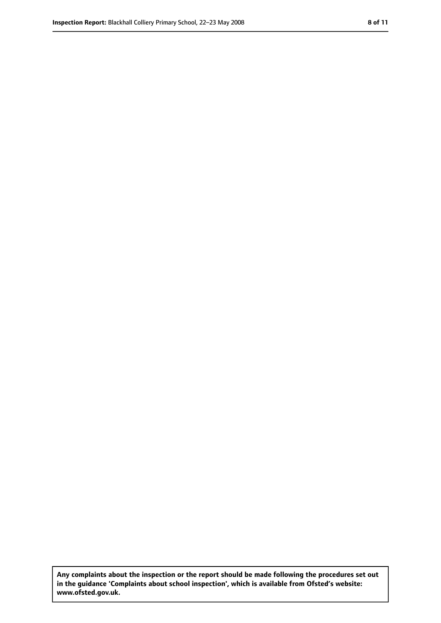**Any complaints about the inspection or the report should be made following the procedures set out in the guidance 'Complaints about school inspection', which is available from Ofsted's website: www.ofsted.gov.uk.**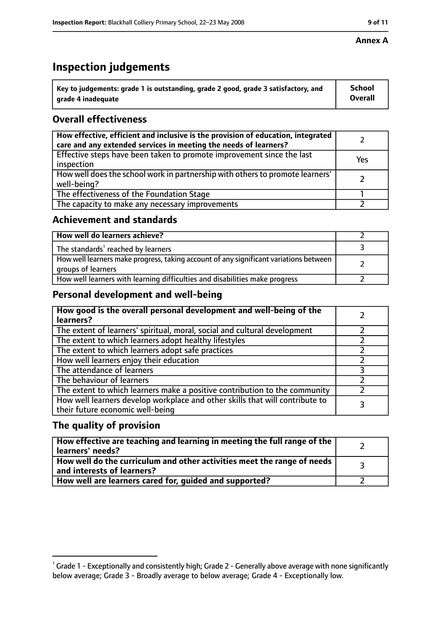# **Inspection judgements**

| $^{\backprime}$ Key to judgements: grade 1 is outstanding, grade 2 good, grade 3 satisfactory, and | <b>School</b>  |
|----------------------------------------------------------------------------------------------------|----------------|
| arade 4 inadequate                                                                                 | <b>Overall</b> |

# **Overall effectiveness**

| How effective, efficient and inclusive is the provision of education, integrated<br>care and any extended services in meeting the needs of learners? |     |
|------------------------------------------------------------------------------------------------------------------------------------------------------|-----|
| Effective steps have been taken to promote improvement since the last<br>inspection                                                                  | Yes |
| How well does the school work in partnership with others to promote learners'<br>well-being?                                                         |     |
| The effectiveness of the Foundation Stage                                                                                                            |     |
| The capacity to make any necessary improvements                                                                                                      |     |

## **Achievement and standards**

| How well do learners achieve?                                                                               |  |
|-------------------------------------------------------------------------------------------------------------|--|
| The standards <sup>1</sup> reached by learners                                                              |  |
| How well learners make progress, taking account of any significant variations between<br>groups of learners |  |
| How well learners with learning difficulties and disabilities make progress                                 |  |

# **Personal development and well-being**

| How good is the overall personal development and well-being of the<br>learners?                                  |  |
|------------------------------------------------------------------------------------------------------------------|--|
| The extent of learners' spiritual, moral, social and cultural development                                        |  |
| The extent to which learners adopt healthy lifestyles                                                            |  |
| The extent to which learners adopt safe practices                                                                |  |
| How well learners enjoy their education                                                                          |  |
| The attendance of learners                                                                                       |  |
| The behaviour of learners                                                                                        |  |
| The extent to which learners make a positive contribution to the community                                       |  |
| How well learners develop workplace and other skills that will contribute to<br>their future economic well-being |  |

# **The quality of provision**

| How effective are teaching and learning in meeting the full range of the<br>learners' needs?          |  |
|-------------------------------------------------------------------------------------------------------|--|
| How well do the curriculum and other activities meet the range of needs<br>and interests of learners? |  |
| How well are learners cared for, guided and supported?                                                |  |

## **Annex A**

 $^1$  Grade 1 - Exceptionally and consistently high; Grade 2 - Generally above average with none significantly below average; Grade 3 - Broadly average to below average; Grade 4 - Exceptionally low.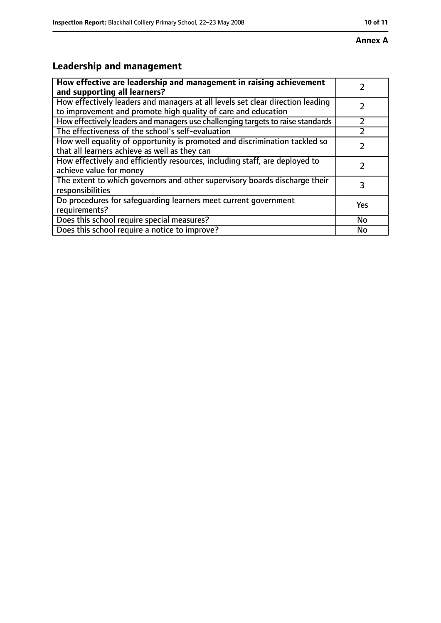# **Leadership and management**

| How effective are leadership and management in raising achievement<br>and supporting all learners?                                              |           |
|-------------------------------------------------------------------------------------------------------------------------------------------------|-----------|
| How effectively leaders and managers at all levels set clear direction leading<br>to improvement and promote high quality of care and education |           |
| How effectively leaders and managers use challenging targets to raise standards                                                                 |           |
| The effectiveness of the school's self-evaluation                                                                                               |           |
| How well equality of opportunity is promoted and discrimination tackled so<br>that all learners achieve as well as they can                     |           |
| How effectively and efficiently resources, including staff, are deployed to<br>achieve value for money                                          |           |
| The extent to which governors and other supervisory boards discharge their<br>responsibilities                                                  | 3         |
| Do procedures for safequarding learners meet current government<br>requirements?                                                                | Yes       |
| Does this school require special measures?                                                                                                      | <b>No</b> |
| Does this school require a notice to improve?                                                                                                   | No        |